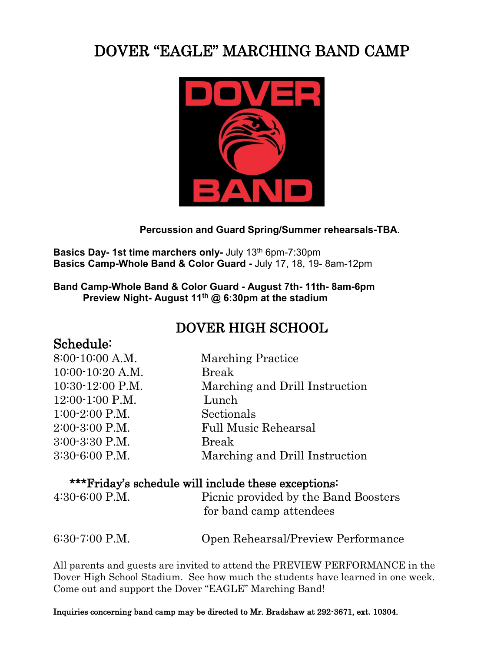# DOVER "EAGLE" MARCHING BAND CAMP



#### **Percussion and Guard Spring/Summer rehearsals-TBA**.

**Basics Day-1st time marchers only-** July 13<sup>th</sup> 6pm-7:30pm **Basics Camp-Whole Band & Color Guard -** July 17, 18, 19- 8am-12pm

#### **Band Camp-Whole Band & Color Guard - August 7th- 11th- 8am-6pm Preview Night- August 11th @ 6:30pm at the stadium**

## DOVER HIGH SCHOOL

| Schedule: |  |
|-----------|--|
|           |  |

| 8:00-10:00 A.M.    | <b>Marching Practice</b>       |
|--------------------|--------------------------------|
| 10:00-10:20 A.M.   | <b>Break</b>                   |
| 10:30-12:00 P.M.   | Marching and Drill Instruction |
| 12:00-1:00 P.M.    | Lunch                          |
| $1:00-2:00$ P.M.   | Sectionals                     |
| $2:00-3:00$ P.M.   | <b>Full Music Rehearsal</b>    |
| 3:00-3:30 P.M.     | <b>Break</b>                   |
| $3:30 - 6:00$ P.M. | Marching and Drill Instruction |
|                    |                                |

### \*\*\*Friday's schedule will include these exceptions:

| $4:30 - 6:00$ P.M. | Picnic provided by the Band Boosters<br>for band camp attendees |
|--------------------|-----------------------------------------------------------------|
| $6:30-7:00$ P.M.   | Open Rehearsal/Preview Performance                              |

All parents and guests are invited to attend the PREVIEW PERFORMANCE in the Dover High School Stadium. See how much the students have learned in one week. Come out and support the Dover "EAGLE" Marching Band!

Inquiries concerning band camp may be directed to Mr. Bradshaw at 292-3671, ext. 10304.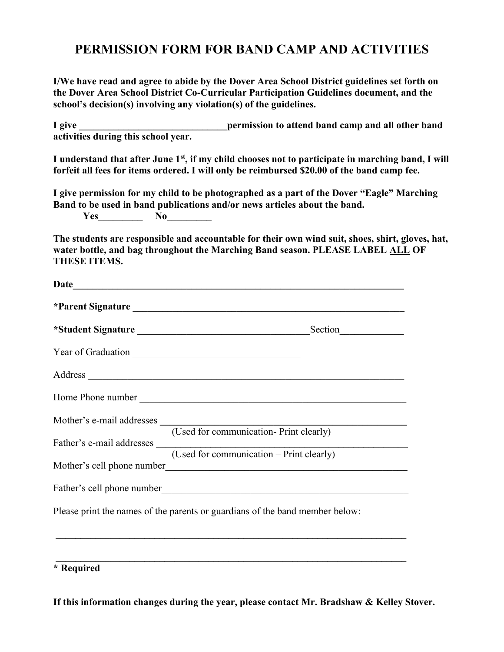### **PERMISSION FORM FOR BAND CAMP AND ACTIVITIES**

**I/We have read and agree to abide by the Dover Area School District guidelines set forth on the Dover Area School District Co-Curricular Participation Guidelines document, and the school's decision(s) involving any violation(s) of the guidelines.**

**I** give **the sum of the set of the permission to attend band camp and all other band <b>i activities during this school year.**

I understand that after June 1<sup>st</sup>, if my child chooses not to participate in marching band, I will **forfeit all fees for items ordered. I will only be reimbursed \$20.00 of the band camp fee.**

**I give permission for my child to be photographed as a part of the Dover "Eagle" Marching Band to be used in band publications and/or news articles about the band. Yes No\_\_\_\_\_\_\_\_** 

**The students are responsible and accountable for their own wind suit, shoes, shirt, gloves, hat, water bottle, and bag throughout the Marching Band season. PLEASE LABEL ALL OF THESE ITEMS.**

| *Student Signature                                                           |
|------------------------------------------------------------------------------|
|                                                                              |
|                                                                              |
|                                                                              |
| Mother's e-mail addresses (Used for communication- Print clearly)            |
| Father's e-mail addresses (Used for communication – Print clearly)           |
|                                                                              |
|                                                                              |
| Please print the names of the parents or guardians of the band member below: |
|                                                                              |

**\* Required**

**If this information changes during the year, please contact Mr. Bradshaw & Kelley Stover.**

 $\mathcal{L}_\mathcal{L} = \{ \mathcal{L}_\mathcal{L} = \{ \mathcal{L}_\mathcal{L} = \{ \mathcal{L}_\mathcal{L} = \{ \mathcal{L}_\mathcal{L} = \{ \mathcal{L}_\mathcal{L} = \{ \mathcal{L}_\mathcal{L} = \{ \mathcal{L}_\mathcal{L} = \{ \mathcal{L}_\mathcal{L} = \{ \mathcal{L}_\mathcal{L} = \{ \mathcal{L}_\mathcal{L} = \{ \mathcal{L}_\mathcal{L} = \{ \mathcal{L}_\mathcal{L} = \{ \mathcal{L}_\mathcal{L} = \{ \mathcal{L}_\mathcal{$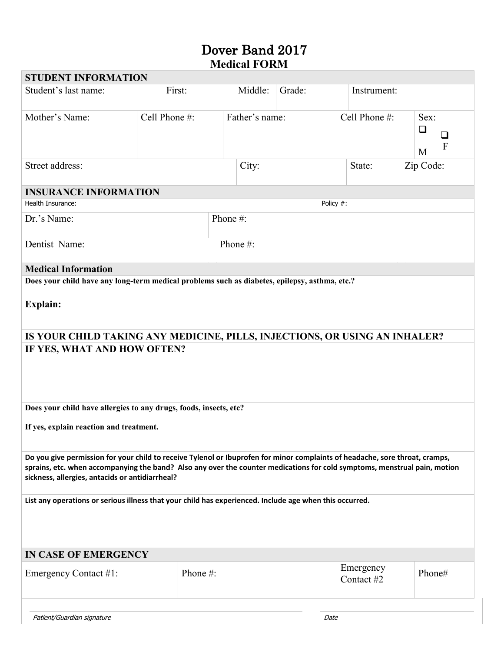### Dover Band 2017  **Medical FORM**

| <b>STUDENT INFORMATION</b>                                                                                                                                                                                                                                                                                   |               |                |           |                         |                                          |
|--------------------------------------------------------------------------------------------------------------------------------------------------------------------------------------------------------------------------------------------------------------------------------------------------------------|---------------|----------------|-----------|-------------------------|------------------------------------------|
| Student's last name:                                                                                                                                                                                                                                                                                         | First:        | Middle:        | Grade:    | Instrument:             |                                          |
| Mother's Name:                                                                                                                                                                                                                                                                                               | Cell Phone #: | Father's name: |           | Cell Phone #:           | Sex:<br>$\Box$<br>⊔<br>$\mathbf{F}$<br>M |
| Street address:                                                                                                                                                                                                                                                                                              |               | City:          |           | Zip Code:<br>State:     |                                          |
| <b>INSURANCE INFORMATION</b>                                                                                                                                                                                                                                                                                 |               |                |           |                         |                                          |
| Health Insurance:                                                                                                                                                                                                                                                                                            |               |                | Policy #: |                         |                                          |
| Dr.'s Name:                                                                                                                                                                                                                                                                                                  |               | Phone #:       |           |                         |                                          |
| Dentist Name:                                                                                                                                                                                                                                                                                                |               | Phone#:        |           |                         |                                          |
| <b>Medical Information</b>                                                                                                                                                                                                                                                                                   |               |                |           |                         |                                          |
| Does your child have any long-term medical problems such as diabetes, epilepsy, asthma, etc.?                                                                                                                                                                                                                |               |                |           |                         |                                          |
| Explain:                                                                                                                                                                                                                                                                                                     |               |                |           |                         |                                          |
| IS YOUR CHILD TAKING ANY MEDICINE, PILLS, INJECTIONS, OR USING AN INHALER?                                                                                                                                                                                                                                   |               |                |           |                         |                                          |
| IF YES, WHAT AND HOW OFTEN?                                                                                                                                                                                                                                                                                  |               |                |           |                         |                                          |
| Does your child have allergies to any drugs, foods, insects, etc?                                                                                                                                                                                                                                            |               |                |           |                         |                                          |
| If yes, explain reaction and treatment.                                                                                                                                                                                                                                                                      |               |                |           |                         |                                          |
| Do you give permission for your child to receive Tylenol or Ibuprofen for minor complaints of headache, sore throat, cramps,<br>sprains, etc. when accompanying the band? Also any over the counter medications for cold symptoms, menstrual pain, motion<br>sickness, allergies, antacids or antidiarrheal? |               |                |           |                         |                                          |
| List any operations or serious illness that your child has experienced. Include age when this occurred.                                                                                                                                                                                                      |               |                |           |                         |                                          |
| <b>IN CASE OF EMERGENCY</b>                                                                                                                                                                                                                                                                                  |               |                |           |                         |                                          |
| Emergency Contact #1:                                                                                                                                                                                                                                                                                        | Phone #:      |                |           | Emergency<br>Contact #2 | Phone#                                   |
|                                                                                                                                                                                                                                                                                                              |               |                |           |                         |                                          |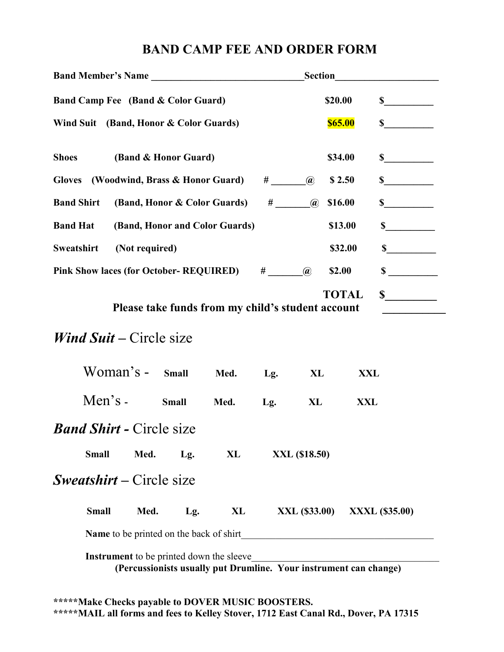### **BAND CAMP FEE AND ORDER FORM**

| Band Member's Name                     |           |                |                                                 |                                                                   |         | <b>Section</b> |                             | <u> 1989 - Andrea State</u> |
|----------------------------------------|-----------|----------------|-------------------------------------------------|-------------------------------------------------------------------|---------|----------------|-----------------------------|-----------------------------|
| Band Camp Fee (Band & Color Guard)     |           |                |                                                 |                                                                   |         | \$20.00        | $\frac{\text{S}}{\text{S}}$ |                             |
| Wind Suit (Band, Honor & Color Guards) |           |                |                                                 |                                                                   |         |                | <b>\$65.00</b>              | $\int$                      |
| <b>Shoes</b>                           |           |                | (Band & Honor Guard)                            |                                                                   |         |                | \$34.00                     | $\frac{\text{S}}{\text{S}}$ |
| Gloves (Woodwind, Brass & Honor Guard) |           |                |                                                 |                                                                   | $#$ (a) |                | \$2.50                      | $\frac{\text{S}}{\text{S}}$ |
| <b>Band Shirt</b>                      |           |                |                                                 | (Band, Honor & Color Guards) # @                                  |         |                | \$16.00                     | $\sim$                      |
| <b>Band Hat</b>                        |           |                |                                                 | (Band, Honor and Color Guards)                                    |         |                | \$13.00                     | $\frac{\text{S}}{\text{S}}$ |
| Sweatshirt                             |           | (Not required) |                                                 |                                                                   |         |                | \$32.00                     | $\frac{\text{S}}{\text{S}}$ |
|                                        |           |                |                                                 | Pink Show laces (for October-REQUIRED) # ________ @               |         |                | \$2.00                      | $\sim$                      |
|                                        |           |                |                                                 | Please take funds from my child's student account                 |         |                | <b>TOTAL</b>                | $\frac{\sim}{\sim}$         |
| <i>Wind Suit – Circle size</i>         |           |                |                                                 |                                                                   |         |                |                             |                             |
|                                        | Woman's - |                | <b>Small</b>                                    | Med.                                                              | Lg.     | XL             | <b>XXL</b>                  |                             |
|                                        | Men's $-$ |                | <b>Small</b>                                    | Med.                                                              | Lg.     | XL             | XXL                         |                             |
| <b>Band Shirt - Circle size</b>        |           |                |                                                 |                                                                   |         |                |                             |                             |
| <b>Small</b>                           |           | Med.           | Lg.                                             | XL                                                                |         | XXL (\$18.50)  |                             |                             |
| <b><i>Sweatshirt</i></b> – Circle size |           |                |                                                 |                                                                   |         |                |                             |                             |
| <b>Small</b>                           |           | Med.           | Lg.                                             | XL                                                                |         | XXL (\$33.00)  |                             | <b>XXXL (\$35.00)</b>       |
|                                        |           |                | <b>Name</b> to be printed on the back of shirt  |                                                                   |         |                |                             |                             |
|                                        |           |                | <b>Instrument</b> to be printed down the sleeve | (Percussionists usually put Drumline. Your instrument can change) |         |                |                             |                             |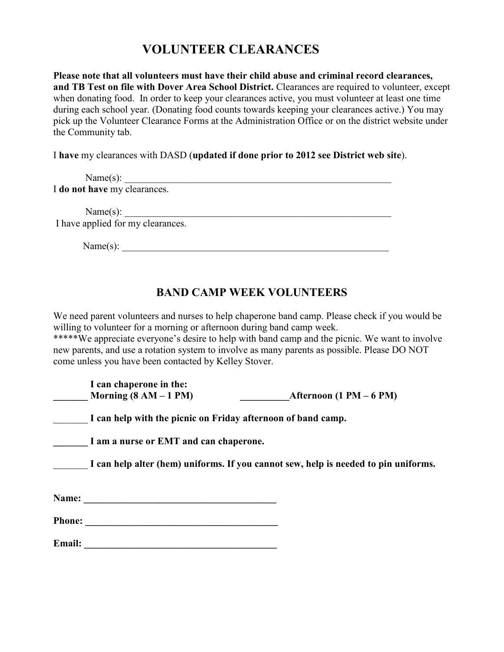## **VOLUNTEER CLEARANCES**

**Please note that all volunteers must have their child abuse and criminal record clearances, and TB Test on file with Dover Area School District.** Clearances are required to volunteer, except when donating food. In order to keep your clearances active, you must volunteer at least one time during each school year. (Donating food counts towards keeping your clearances active.) You may pick up the Volunteer Clearance Forms at the Administration Office or on the district website under the Community tab.

I **have** my clearances with DASD (**updated if done prior to 2012 see District web site**).

 $Name(s):$ I **do not have** my clearances.

 $Name(s):$ I have applied for my clearances.

Name(s): \_\_\_\_\_\_\_\_\_\_\_\_\_\_\_\_\_\_\_\_\_\_\_\_\_\_\_\_\_\_\_\_\_\_\_\_\_\_\_\_\_\_\_\_\_\_\_\_\_\_\_\_\_\_

### **BAND CAMP WEEK VOLUNTEERS**

We need parent volunteers and nurses to help chaperone band camp. Please check if you would be willing to volunteer for a morning or afternoon during band camp week.

\*\*\*\*\*We appreciate everyone's desire to help with band camp and the picnic. We want to involve new parents, and use a rotation system to involve as many parents as possible. Please DO NOT come unless you have been contacted by Kelley Stover.

|               | I can chaperone in the:<br>Morning $(8 AM - 1 PM)$           | Afternoon $(1 PM - 6 PM)$                                                           |
|---------------|--------------------------------------------------------------|-------------------------------------------------------------------------------------|
|               | I can help with the picnic on Friday afternoon of band camp. |                                                                                     |
|               | I am a nurse or EMT and can chaperone.                       |                                                                                     |
|               |                                                              | I can help alter (hem) uniforms. If you cannot sew, help is needed to pin uniforms. |
| Name:         |                                                              |                                                                                     |
| <b>Phone:</b> |                                                              |                                                                                     |
| <b>Email:</b> |                                                              |                                                                                     |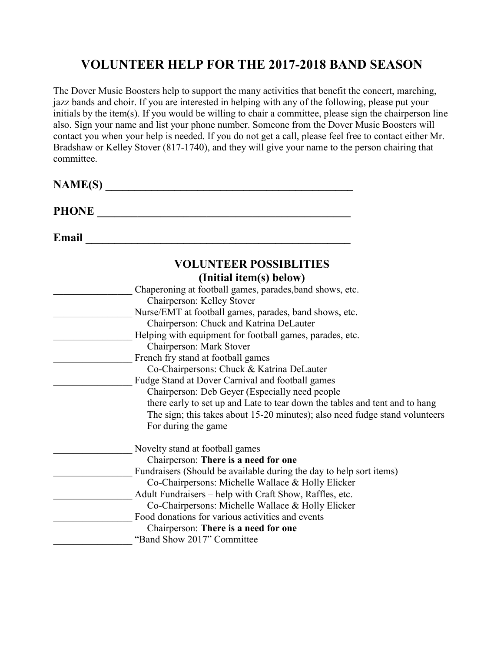## **VOLUNTEER HELP FOR THE 2017-2018 BAND SEASON**

The Dover Music Boosters help to support the many activities that benefit the concert, marching, jazz bands and choir. If you are interested in helping with any of the following, please put your initials by the item(s). If you would be willing to chair a committee, please sign the chairperson line also. Sign your name and list your phone number. Someone from the Dover Music Boosters will contact you when your help is needed. If you do not get a call, please feel free to contact either Mr. Bradshaw or Kelley Stover (817-1740), and they will give your name to the person chairing that committee.

| <b>NAME(S)</b> |                                                                             |
|----------------|-----------------------------------------------------------------------------|
| <b>PHONE</b>   |                                                                             |
| Email          |                                                                             |
|                | <b>VOLUNTEER POSSIBLITIES</b>                                               |
|                | (Initial item(s) below)                                                     |
|                | Chaperoning at football games, parades, band shows, etc.                    |
|                | Chairperson: Kelley Stover                                                  |
|                | Nurse/EMT at football games, parades, band shows, etc.                      |
|                | Chairperson: Chuck and Katrina DeLauter                                     |
|                | Helping with equipment for football games, parades, etc.                    |
|                | Chairperson: Mark Stover                                                    |
|                | French fry stand at football games                                          |
|                | Co-Chairpersons: Chuck & Katrina DeLauter                                   |
|                | Fudge Stand at Dover Carnival and football games                            |
|                | Chairperson: Deb Geyer (Especially need people)                             |
|                | there early to set up and Late to tear down the tables and tent and to hang |
|                | The sign; this takes about 15-20 minutes); also need fudge stand volunteers |
|                | For during the game                                                         |
|                | Novelty stand at football games                                             |
|                | Chairperson: There is a need for one                                        |
|                | Fundraisers (Should be available during the day to help sort items)         |
|                | Co-Chairpersons: Michelle Wallace & Holly Elicker                           |
|                | Adult Fundraisers - help with Craft Show, Raffles, etc.                     |
|                | Co-Chairpersons: Michelle Wallace & Holly Elicker                           |
|                | Food donations for various activities and events                            |
|                | Chairperson: There is a need for one                                        |
|                | "Band Show 2017" Committee                                                  |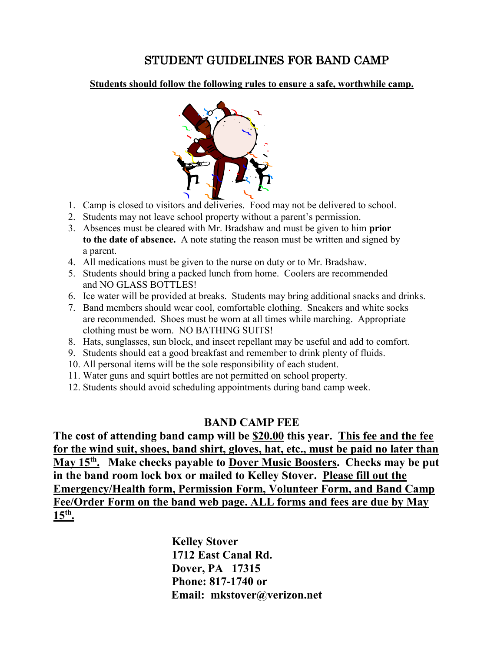### STUDENT GUIDELINES FOR BAND CAMP

#### **Students should follow the following rules to ensure a safe, worthwhile camp.**



- 1. Camp is closed to visitors and deliveries. Food may not be delivered to school.
- 2. Students may not leave school property without a parent's permission.
- 3. Absences must be cleared with Mr. Bradshaw and must be given to him **prior to the date of absence.** A note stating the reason must be written and signed by a parent.
- 4. All medications must be given to the nurse on duty or to Mr. Bradshaw.
- 5. Students should bring a packed lunch from home. Coolers are recommended and NO GLASS BOTTLES!
- 6. Ice water will be provided at breaks. Students may bring additional snacks and drinks.
- 7. Band members should wear cool, comfortable clothing. Sneakers and white socks are recommended. Shoes must be worn at all times while marching. Appropriate clothing must be worn. NO BATHING SUITS!
- 8. Hats, sunglasses, sun block, and insect repellant may be useful and add to comfort.
- 9. Students should eat a good breakfast and remember to drink plenty of fluids.
- 10. All personal items will be the sole responsibility of each student.
- 11. Water guns and squirt bottles are not permitted on school property.
- 12. Students should avoid scheduling appointments during band camp week.

#### **BAND CAMP FEE**

**The cost of attending band camp will be \$20.00 this year. This fee and the fee for the wind suit, shoes, band shirt, gloves, hat, etc., must be paid no later than May 15th. Make checks payable to Dover Music Boosters. Checks may be put in the band room lock box or mailed to Kelley Stover. Please fill out the Emergency/Health form, Permission Form, Volunteer Form, and Band Camp Fee/Order Form on the band web page. ALL forms and fees are due by May 15th.** 

> **Kelley Stover 1712 East Canal Rd. Dover, PA 17315 Phone: 817-1740 or Email: mkstover@verizon.net**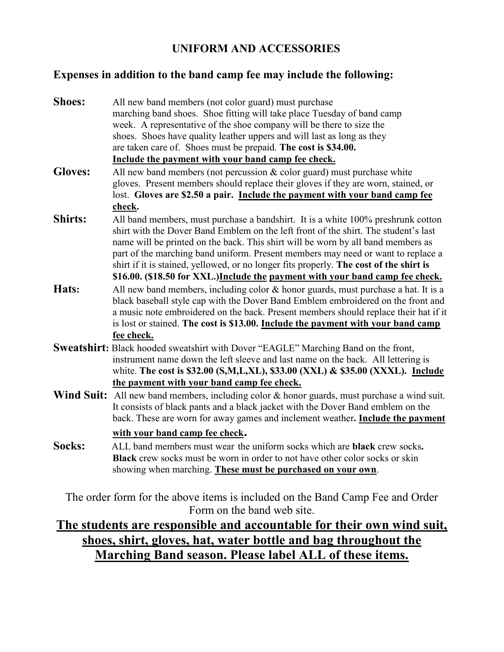### **UNIFORM AND ACCESSORIES**

### **Expenses in addition to the band camp fee may include the following:**

- **Shoes:** All new band members (not color guard) must purchase marching band shoes. Shoe fitting will take place Tuesday of band camp week. A representative of the shoe company will be there to size the shoes. Shoes have quality leather uppers and will last as long as they are taken care of. Shoes must be prepaid. **The cost is \$34.00. Include the payment with your band camp fee check.**
- **Gloves:** All new band members (not percussion & color guard) must purchase white gloves. Present members should replace their gloves if they are worn, stained, or lost. **Gloves are \$2.50 a pair. Include the payment with your band camp fee check.**
- **Shirts:** All band members, must purchase a bandshirt. It is a white 100% preshrunk cotton shirt with the Dover Band Emblem on the left front of the shirt. The student's last name will be printed on the back. This shirt will be worn by all band members as part of the marching band uniform. Present members may need or want to replace a shirt if it is stained, yellowed, or no longer fits properly. **The cost of the shirt is \$16.00. (\$18.50 for XXL.)Include the payment with your band camp fee check.**
- Hats: All new band members, including color & honor guards, must purchase a hat. It is a black baseball style cap with the Dover Band Emblem embroidered on the front and a music note embroidered on the back. Present members should replace their hat if it is lost or stained. **The cost is \$13.00. Include the payment with your band camp fee check.**
- **Sweatshirt:** Black hooded sweatshirt with Dover "EAGLE" Marching Band on the front, instrument name down the left sleeve and last name on the back. All lettering is white. **The cost is \$32.00 (S,M,L,XL), \$33.00 (XXL) & \$35.00 (XXXL). Include the payment with your band camp fee check.**
- **Wind Suit:** All new band members, including color & honor guards, must purchase a wind suit. It consists of black pants and a black jacket with the Dover Band emblem on the back. These are worn for away games and inclement weather**. Include the payment**

**with your band camp fee check.**

**Socks:** ALL band members must wear the uniform socks which are **black** crew socks**. Black** crew socks must be worn in order to not have other color socks or skin showing when marching. **These must be purchased on your own**.

The order form for the above items is included on the Band Camp Fee and Order Form on the band web site.

## **The students are responsible and accountable for their own wind suit, shoes, shirt, gloves, hat, water bottle and bag throughout the Marching Band season. Please label ALL of these items.**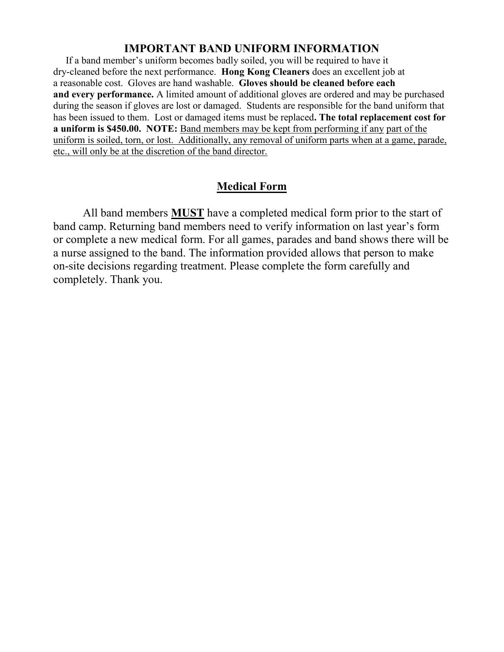#### **IMPORTANT BAND UNIFORM INFORMATION**

 If a band member's uniform becomes badly soiled, you will be required to have it dry-cleaned before the next performance. **Hong Kong Cleaners** does an excellent job at a reasonable cost. Gloves are hand washable. **Gloves should be cleaned before each and every performance.** A limited amount of additional gloves are ordered and may be purchased during the season if gloves are lost or damaged. Students are responsible for the band uniform that has been issued to them. Lost or damaged items must be replaced**. The total replacement cost for a uniform is \$450.00. NOTE:** Band members may be kept from performing if any part of the uniform is soiled, torn, or lost. Additionally, any removal of uniform parts when at a game, parade, etc., will only be at the discretion of the band director.

### **Medical Form**

All band members **MUST** have a completed medical form prior to the start of band camp. Returning band members need to verify information on last year's form or complete a new medical form. For all games, parades and band shows there will be a nurse assigned to the band. The information provided allows that person to make on-site decisions regarding treatment. Please complete the form carefully and completely. Thank you.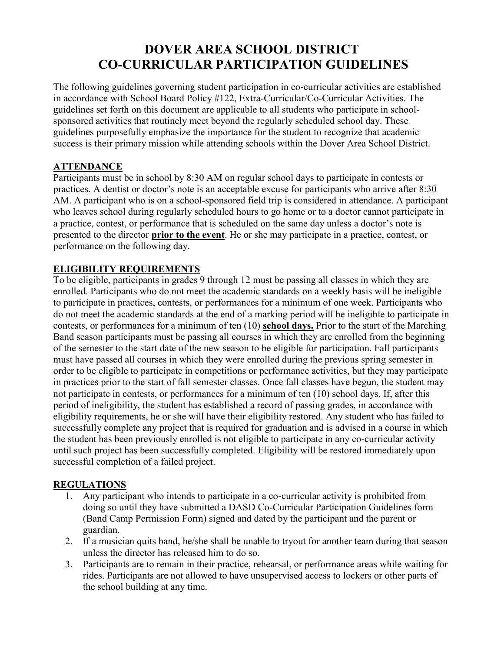## **DOVER AREA SCHOOL DISTRICT CO-CURRICULAR PARTICIPATION GUIDELINES**

The following guidelines governing student participation in co-curricular activities are established in accordance with School Board Policy #122, Extra-Curricular/Co-Curricular Activities. The guidelines set forth on this document are applicable to all students who participate in schoolsponsored activities that routinely meet beyond the regularly scheduled school day. These guidelines purposefully emphasize the importance for the student to recognize that academic success is their primary mission while attending schools within the Dover Area School District.

#### **ATTENDANCE**

Participants must be in school by 8:30 AM on regular school days to participate in contests or practices. A dentist or doctor's note is an acceptable excuse for participants who arrive after 8:30 AM. A participant who is on a school-sponsored field trip is considered in attendance. A participant who leaves school during regularly scheduled hours to go home or to a doctor cannot participate in a practice, contest, or performance that is scheduled on the same day unless a doctor's note is presented to the director **prior to the event**. He or she may participate in a practice, contest, or performance on the following day.

#### **ELIGIBILITY REQUIREMENTS**

To be eligible, participants in grades 9 through 12 must be passing all classes in which they are enrolled. Participants who do not meet the academic standards on a weekly basis will be ineligible to participate in practices, contests, or performances for a minimum of one week. Participants who do not meet the academic standards at the end of a marking period will be ineligible to participate in contests, or performances for a minimum of ten (10) **school days.** Prior to the start of the Marching Band season participants must be passing all courses in which they are enrolled from the beginning of the semester to the start date of the new season to be eligible for participation. Fall participants must have passed all courses in which they were enrolled during the previous spring semester in order to be eligible to participate in competitions or performance activities, but they may participate in practices prior to the start of fall semester classes. Once fall classes have begun, the student may not participate in contests, or performances for a minimum of ten (10) school days. If, after this period of ineligibility, the student has established a record of passing grades, in accordance with eligibility requirements, he or she will have their eligibility restored. Any student who has failed to successfully complete any project that is required for graduation and is advised in a course in which the student has been previously enrolled is not eligible to participate in any co-curricular activity until such project has been successfully completed. Eligibility will be restored immediately upon successful completion of a failed project.

#### **REGULATIONS**

- 1. Any participant who intends to participate in a co-curricular activity is prohibited from doing so until they have submitted a DASD Co-Curricular Participation Guidelines form (Band Camp Permission Form) signed and dated by the participant and the parent or guardian.
- 2. If a musician quits band, he/she shall be unable to tryout for another team during that season unless the director has released him to do so.
- 3. Participants are to remain in their practice, rehearsal, or performance areas while waiting for rides. Participants are not allowed to have unsupervised access to lockers or other parts of the school building at any time.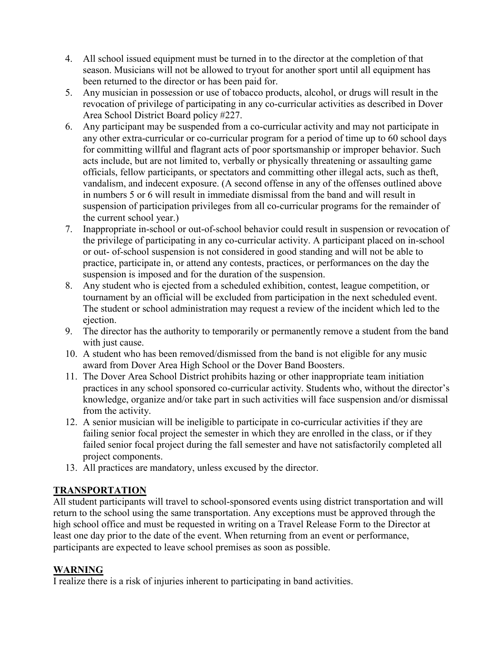- 4. All school issued equipment must be turned in to the director at the completion of that season. Musicians will not be allowed to tryout for another sport until all equipment has been returned to the director or has been paid for.
- 5. Any musician in possession or use of tobacco products, alcohol, or drugs will result in the revocation of privilege of participating in any co-curricular activities as described in Dover Area School District Board policy #227.
- 6. Any participant may be suspended from a co-curricular activity and may not participate in any other extra-curricular or co-curricular program for a period of time up to 60 school days for committing willful and flagrant acts of poor sportsmanship or improper behavior. Such acts include, but are not limited to, verbally or physically threatening or assaulting game officials, fellow participants, or spectators and committing other illegal acts, such as theft, vandalism, and indecent exposure. (A second offense in any of the offenses outlined above in numbers 5 or 6 will result in immediate dismissal from the band and will result in suspension of participation privileges from all co-curricular programs for the remainder of the current school year.)
- 7. Inappropriate in-school or out-of-school behavior could result in suspension or revocation of the privilege of participating in any co-curricular activity. A participant placed on in-school or out- of-school suspension is not considered in good standing and will not be able to practice, participate in, or attend any contests, practices, or performances on the day the suspension is imposed and for the duration of the suspension.
- 8. Any student who is ejected from a scheduled exhibition, contest, league competition, or tournament by an official will be excluded from participation in the next scheduled event. The student or school administration may request a review of the incident which led to the ejection.
- 9. The director has the authority to temporarily or permanently remove a student from the band with just cause.
- 10. A student who has been removed/dismissed from the band is not eligible for any music award from Dover Area High School or the Dover Band Boosters.
- 11. The Dover Area School District prohibits hazing or other inappropriate team initiation practices in any school sponsored co-curricular activity. Students who, without the director's knowledge, organize and/or take part in such activities will face suspension and/or dismissal from the activity.
- 12. A senior musician will be ineligible to participate in co-curricular activities if they are failing senior focal project the semester in which they are enrolled in the class, or if they failed senior focal project during the fall semester and have not satisfactorily completed all project components.
- 13. All practices are mandatory, unless excused by the director.

#### **TRANSPORTATION**

All student participants will travel to school-sponsored events using district transportation and will return to the school using the same transportation. Any exceptions must be approved through the high school office and must be requested in writing on a Travel Release Form to the Director at least one day prior to the date of the event. When returning from an event or performance, participants are expected to leave school premises as soon as possible.

#### **WARNING**

I realize there is a risk of injuries inherent to participating in band activities.